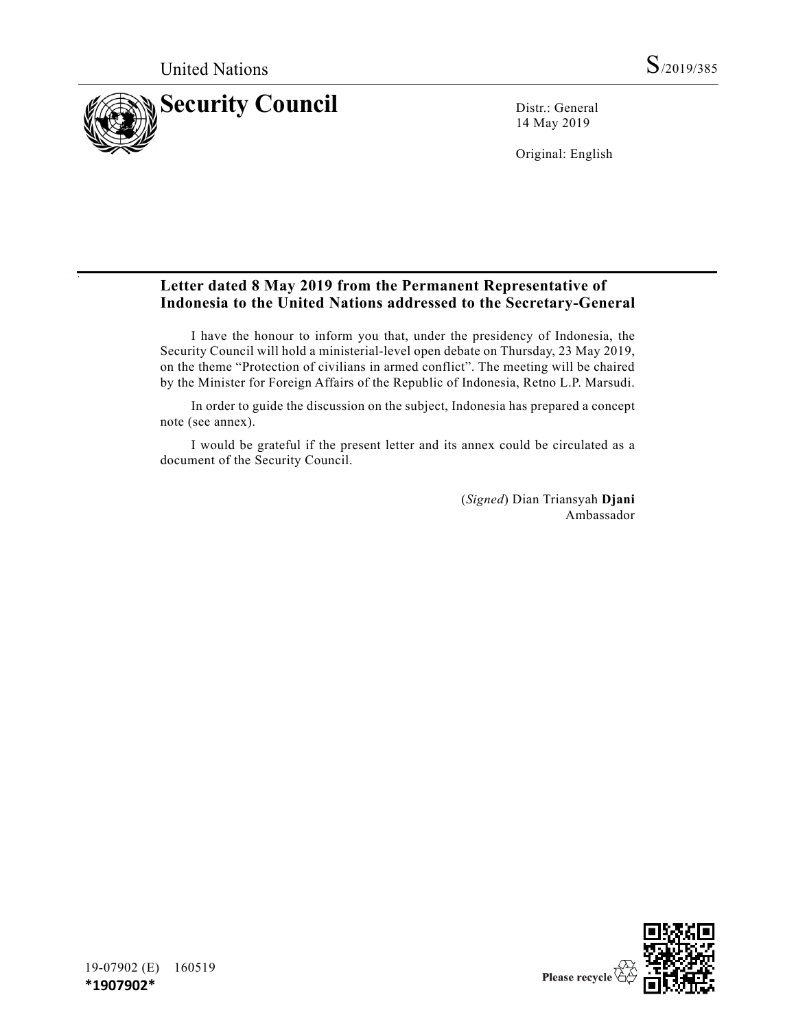

14 May 2019

Original: English

# **Letter dated 8 May 2019 from the Permanent Representative of Indonesia to the United Nations addressed to the Secretary-General**

I have the honour to inform you that, under the presidency of Indonesia, the Security Council will hold a ministerial-level open debate on Thursday, 23 May 2019, on the theme "Protection of civilians in armed conflict". The meeting will be chaired by the Minister for Foreign Affairs of the Republic of Indonesia, Retno L.P. Marsudi.

In order to guide the discussion on the subject, Indonesia has prepared a concept note (see annex).

I would be grateful if the present letter and its annex could be circulated as a document of the Security Council.

> (*Signed*) Dian Triansyah **Djani** Ambassador

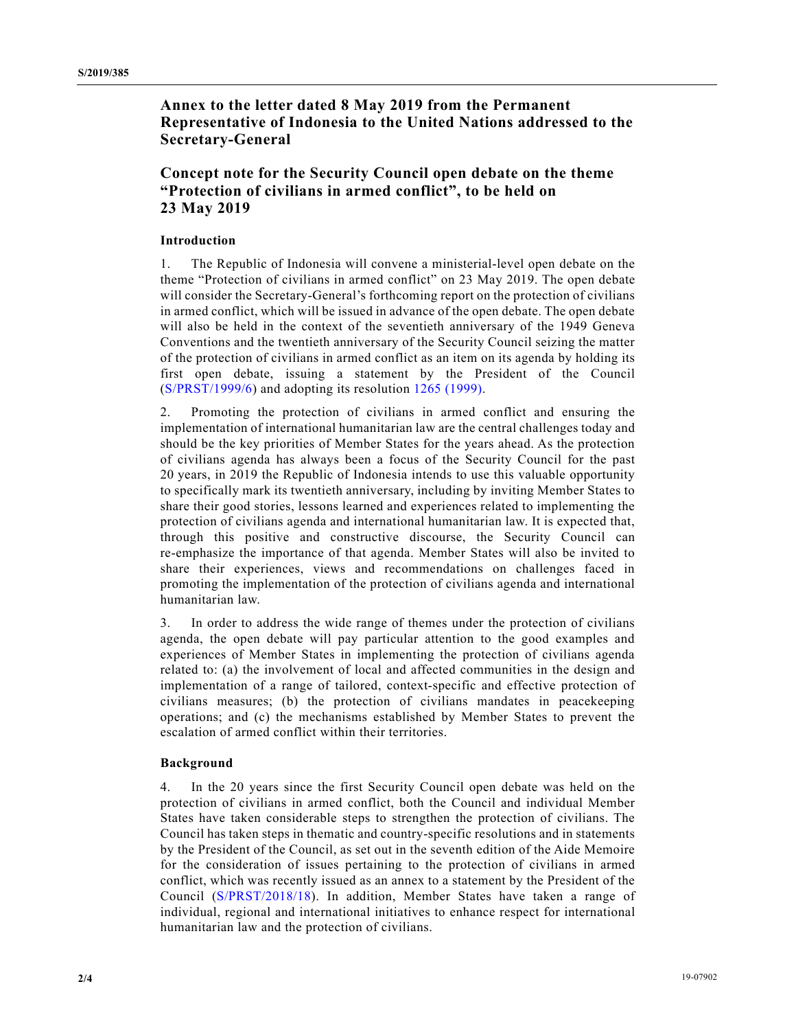**Annex to the letter dated 8 May 2019 from the Permanent Representative of Indonesia to the United Nations addressed to the Secretary-General**

## **Concept note for the Security Council open debate on the theme "Protection of civilians in armed conflict", to be held on 23 May 2019**

### **Introduction**

1. The Republic of Indonesia will convene a ministerial-level open debate on the theme "Protection of civilians in armed conflict" on 23 May 2019. The open debate will consider the Secretary-General's forthcoming report on the protection of civilians in armed conflict, which will be issued in advance of the open debate. The open debate will also be held in the context of the seventieth anniversary of the 1949 Geneva Conventions and the twentieth anniversary of the Security Council seizing the matter of the protection of civilians in armed conflict as an item on its agenda by holding its first open debate, issuing a statement by the President of the Council (S/PRST/1999/6) and adopting its resolution 1265 (1999).

2. Promoting the protection of civilians in armed conflict and ensuring the implementation of international humanitarian law are the central challenges today and should be the key priorities of Member States for the years ahead. As the protection of civilians agenda has always been a focus of the Security Council for the past 20 years, in 2019 the Republic of Indonesia intends to use this valuable opportunity to specifically mark its twentieth anniversary, including by inviting Member States to share their good stories, lessons learned and experiences related to implementing the protection of civilians agenda and international humanitarian law. It is expected that, through this positive and constructive discourse, the Security Council can re-emphasize the importance of that agenda. Member States will also be invited to share their experiences, views and recommendations on challenges faced in promoting the implementation of the protection of civilians agenda and international humanitarian law.

3. In order to address the wide range of themes under the protection of civilians agenda, the open debate will pay particular attention to the good examples and experiences of Member States in implementing the protection of civilians agenda related to: (a) the involvement of local and affected communities in the design and implementation of a range of tailored, context-specific and effective protection of civilians measures; (b) the protection of civilians mandates in peacekeeping operations; and (c) the mechanisms established by Member States to prevent the escalation of armed conflict within their territories.

#### **Background**

4. In the 20 years since the first Security Council open debate was held on the protection of civilians in armed conflict, both the Council and individual Member States have taken considerable steps to strengthen the protection of civilians. The Council has taken steps in thematic and country-specific resolutions and in statements by the President of the Council, as set out in the seventh edition of the Aide Memoire for the consideration of issues pertaining to the protection of civilians in armed conflict, which was recently issued as an annex to a statement by the President of the Council (S/PRST/2018/18). In addition, Member States have taken a range of individual, regional and international initiatives to enhance respect for international humanitarian law and the protection of civilians.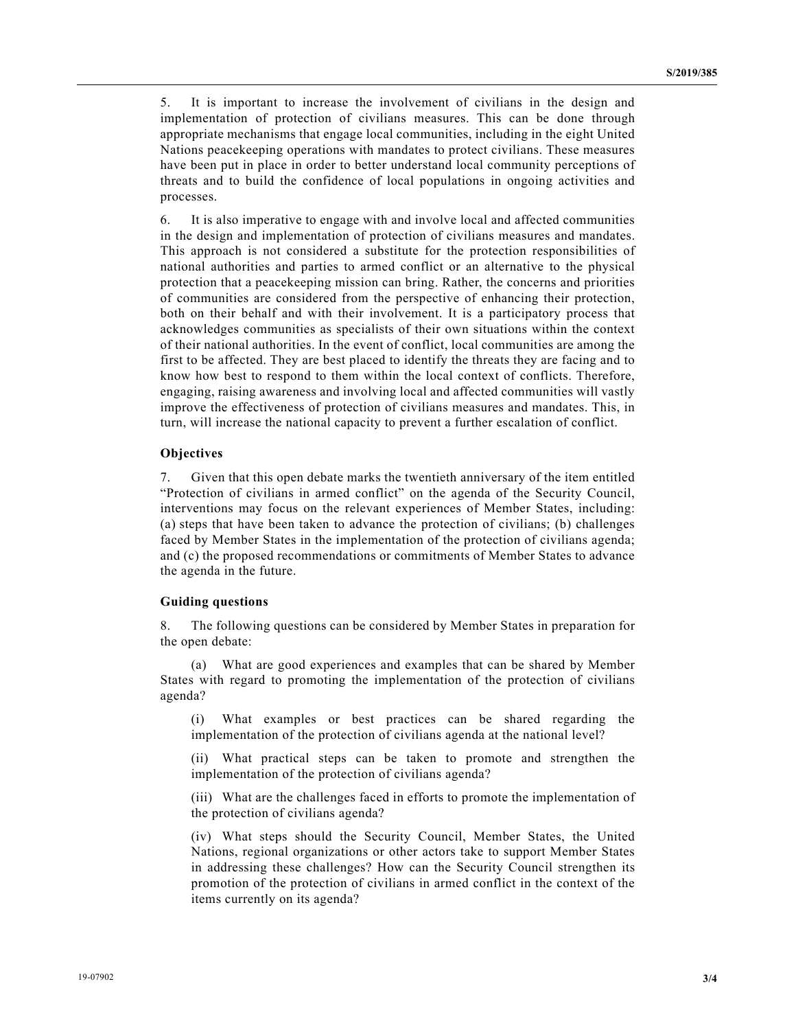5. It is important to increase the involvement of civilians in the design and implementation of protection of civilians measures. This can be done through appropriate mechanisms that engage local communities, including in the eight United Nations peacekeeping operations with mandates to protect civilians. These measures have been put in place in order to better understand local community perceptions of threats and to build the confidence of local populations in ongoing activities and processes.

6. It is also imperative to engage with and involve local and affected communities in the design and implementation of protection of civilians measures and mandates. This approach is not considered a substitute for the protection responsibilities of national authorities and parties to armed conflict or an alternative to the physical protection that a peacekeeping mission can bring. Rather, the concerns and priorities of communities are considered from the perspective of enhancing their protection, both on their behalf and with their involvement. It is a participatory process that acknowledges communities as specialists of their own situations within the context of their national authorities. In the event of conflict, local communities are among the first to be affected. They are best placed to identify the threats they are facing and to know how best to respond to them within the local context of conflicts. Therefore, engaging, raising awareness and involving local and affected communities will vastly improve the effectiveness of protection of civilians measures and mandates. This, in turn, will increase the national capacity to prevent a further escalation of conflict.

#### **Objectives**

7. Given that this open debate marks the twentieth anniversary of the item entitled "Protection of civilians in armed conflict" on the agenda of the Security Council, interventions may focus on the relevant experiences of Member States, including: (a) steps that have been taken to advance the protection of civilians; (b) challenges faced by Member States in the implementation of the protection of civilians agenda; and (c) the proposed recommendations or commitments of Member States to advance the agenda in the future.

#### **Guiding questions**

8. The following questions can be considered by Member States in preparation for the open debate:

(a) What are good experiences and examples that can be shared by Member States with regard to promoting the implementation of the protection of civilians agenda?

(i) What examples or best practices can be shared regarding the implementation of the protection of civilians agenda at the national level?

(ii) What practical steps can be taken to promote and strengthen the implementation of the protection of civilians agenda?

(iii) What are the challenges faced in efforts to promote the implementation of the protection of civilians agenda?

(iv) What steps should the Security Council, Member States, the United Nations, regional organizations or other actors take to support Member States in addressing these challenges? How can the Security Council strengthen its promotion of the protection of civilians in armed conflict in the context of the items currently on its agenda?